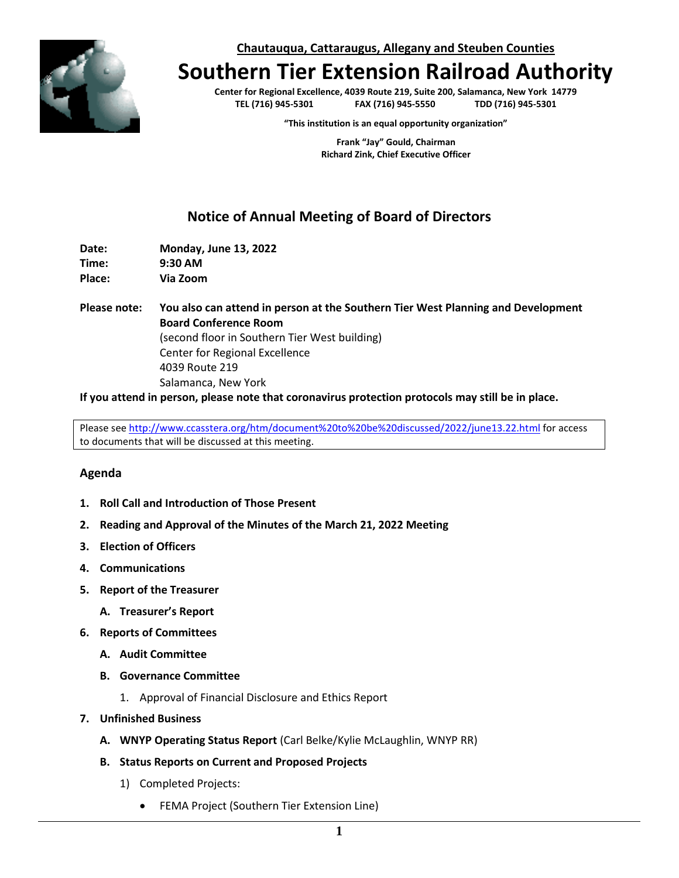**Chautauqua, Cattaraugus, Allegany and Steuben Counties**



## **Southern Tier Extension Railroad Authority**

**Center for Regional Excellence, 4039 Route 219, Suite 200, Salamanca, New York 14779 TEL (716) 945-5301 FAX (716) 945-5550** 

**"This institution is an equal opportunity organization"**

**Frank "Jay" Gould, Chairman Richard Zink, Chief Executive Officer**

## **Notice of Annual Meeting of Board of Directors**

**Date: Monday, June 13, 2022 Time: 9:30 AM Place: Via Zoom**

**Please note: You also can attend in person at the Southern Tier West Planning and Development Board Conference Room** (second floor in Southern Tier West building) Center for Regional Excellence 4039 Route 219 Salamanca, New York

**If you attend in person, please note that coronavirus protection protocols may still be in place.**

Please se[e http://www.ccasstera.org/htm/document%20to%20be%20discussed/2022/june13.22.html](http://www.ccasstera.org/htm/document%20to%20be%20discussed/2022/june13.22.html) for access to documents that will be discussed at this meeting.

## **Agenda**

- **1. Roll Call and Introduction of Those Present**
- **2. Reading and Approval of the Minutes of the March 21, 2022 Meeting**
- **3. Election of Officers**
- **4. Communications**
- **5. Report of the Treasurer**
	- **A. Treasurer's Report**
- **6. Reports of Committees**
	- **A. Audit Committee**
	- **B. Governance Committee**
		- 1. Approval of Financial Disclosure and Ethics Report
- **7. Unfinished Business**
	- **A. WNYP Operating Status Report** (Carl Belke/Kylie McLaughlin, WNYP RR)
	- **B. Status Reports on Current and Proposed Projects**
		- 1) Completed Projects:
			- FEMA Project (Southern Tier Extension Line)